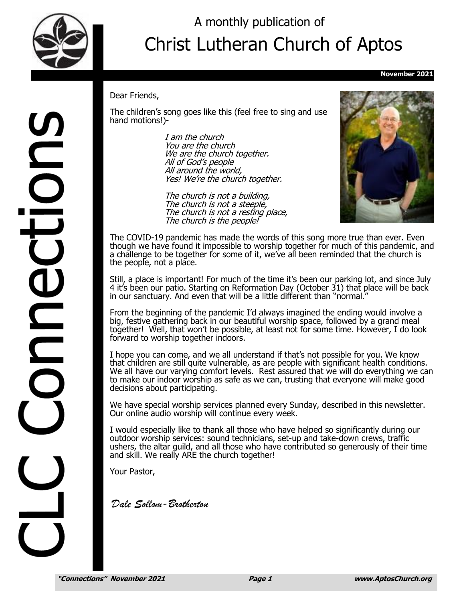

DOIDS

DO

## Christ Lutheran Church of Aptos A monthly publication of

#### **November 2021**

#### Dear Friends,

The children's song goes like this (feel free to sing and use hand motions!)-

> I am the church You are the church We are the church together. All of God's people All around the world, Yes! We're the church together.

The church is not a building, The church is not a steeple, The church is not a resting place, The church is the people!



The COVID-19 pandemic has made the words of this song more true than ever. Even though we have found it impossible to worship together for much of this pandemic, and a challenge to be together for some of it, we've all been reminded that the church is the people, not a place.

Still, a place is important! For much of the time it's been our parking lot, and since July 4 it's been our patio. Starting on Reformation Day (October 31) that place will be back in our sanctuary. And even that will be a little different than "normal."

From the beginning of the pandemic I'd always imagined the ending would involve a big, festive gathering back in our beautiful worship space, followed by a grand meal together! Well, that won't be possible, at least not for some time. However, I do look forward to worship together indoors.

I hope you can come, and we all understand if that's not possible for you. We know that children are still quite vulnerable, as are people with significant health conditions. We all have our varying comfort levels. Rest assured that we will do everything we can to make our indoor worship as safe as we can, trusting that everyone will make good decisions about participating.

We have special worship services planned every Sunday, described in this newsletter. Our online audio worship will continue every week.

I would especially like to thank all those who have helped so significantly during our outdoor worship services: sound technicians, set-up and take-down crews, traffic ushers, the altar guild, and all those who have contributed so generously of their time and skill. We really ARE the church together!

Your Pastor,

*Dale Sollom-Brotherton*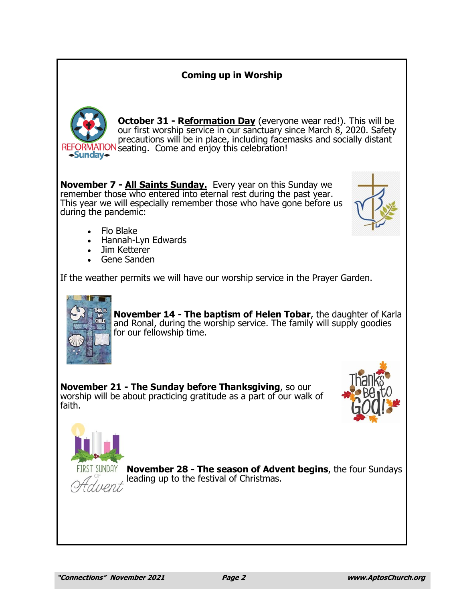### **Coming up in Worship**



**October 31 - Reformation Day** (everyone wear red!). This will be our first worship service in our sanctuary since March 8, 2020. Safety precautions will be in place, including facemasks and socially distant REFORMATION seating. Come and enjoy this celebration!

**November 7 - All Saints Sunday.** Every year on this Sunday we remember those who entered into eternal rest during the past year. This year we will especially remember those who have gone before us during the pandemic:



- Flo Blake
- Hannah-Lyn Edwards
- Jim Ketterer
- Gene Sanden

If the weather permits we will have our worship service in the Prayer Garden.



**November 14 - The baptism of Helen Tobar**, the daughter of Karla and Ronal, during the worship service. The family will supply goodies for our fellowship time.

**November 21 - The Sunday before Thanksgiving**, so our worship will be about practicing gratitude as a part of our walk of faith.





**November 28 - The season of Advent begins**, the four Sundays leading up to the festival of Christmas.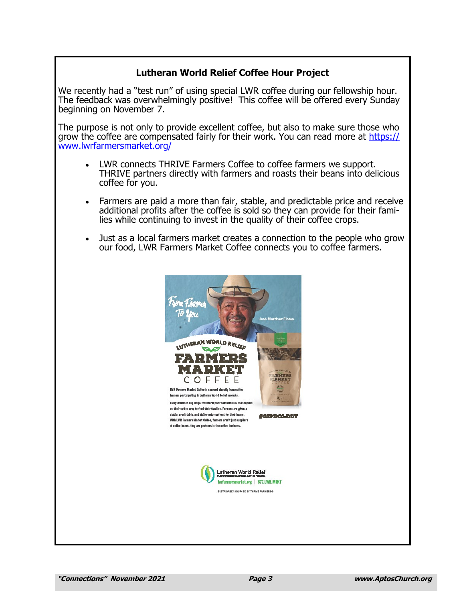### **Lutheran World Relief Coffee Hour Project**

We recently had a "test run" of using special LWR coffee during our fellowship hour. The feedback was overwhelmingly positive! This coffee will be offered every Sunday beginning on November 7.

The purpose is not only to provide excellent coffee, but also to make sure those who grow the coffee are compensated fairly for their work. You can read more at [https://](https://www.lwrfarmersmarket.org/) [www.lwrfarmersmarket.org/](https://www.lwrfarmersmarket.org/)

- LWR connects THRIVE Farmers Coffee to coffee farmers we support. THRIVE partners directly with farmers and roasts their beans into delicious coffee for you.
- Farmers are paid a more than fair, stable, and predictable price and receive additional profits after the coffee is sold so they can provide for their families while continuing to invest in the quality of their coffee crops.
- Just as a local farmers market creates a connection to the people who grow our food, LWR Farmers Market Coffee connects you to coffee farmers.

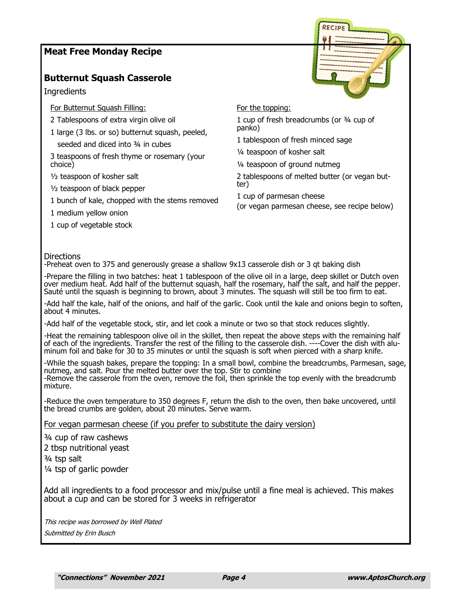#### **Meat Free Monday Recipe**

#### **Butternut Squash Casserole**

**Ingredients** 

For Butternut Squash Filling:

- 2 Tablespoons of extra virgin olive oil
- 1 large (3 lbs. or so) butternut squash, peeled, seeded and diced into 3/4 in cubes

3 teaspoons of fresh thyme or rosemary (your choice)

½ teaspoon of kosher salt

½ teaspoon of black pepper

1 bunch of kale, chopped with the stems removed

1 medium yellow onion

1 cup of vegetable stock

#### For the topping:

1 cup of fresh breadcrumbs (or ¾ cup of panko)

1 tablespoon of fresh minced sage

¼ teaspoon of kosher salt

¼ teaspoon of ground nutmeg

2 tablespoons of melted butter (or vegan butter)

1 cup of parmesan cheese

(or vegan parmesan cheese, see recipe below)

#### Directions

-Preheat oven to 375 and generously grease a shallow 9x13 casserole dish or 3 qt baking dish

-Prepare the filling in two batches: heat 1 tablespoon of the olive oil in a large, deep skillet or Dutch oven over medium heat. Add half of the butternut squash, half the rosemary, half the salt, and half the pepper. Sauté until the squash is beginning to brown, about 3 minutes. The squash will still be too firm to eat.

-Add half the kale, half of the onions, and half of the garlic. Cook until the kale and onions begin to soften, about 4 minutes.

-Add half of the vegetable stock, stir, and let cook a minute or two so that stock reduces slightly.

-Heat the remaining tablespoon olive oil in the skillet, then repeat the above steps with the remaining half of each of the ingredients. Transfer the rest of the filling to the casserole dish. ----Cover the dish with aluminum foil and bake for 30 to 35 minutes or until the squash is soft when pierced with a sharp knife.

-While the squash bakes, prepare the topping: In a small bowl, combine the breadcrumbs, Parmesan, sage, nutmeg, and salt. Pour the melted butter over the top. Stir to combine -Remove the casserole from the oven, remove the foil, then sprinkle the top evenly with the breadcrumb mixture.

-Reduce the oven temperature to 350 degrees F, return the dish to the oven, then bake uncovered, until the bread crumbs are golden, about 20 minutes. Serve warm.

For vegan parmesan cheese (if you prefer to substitute the dairy version)

¾ cup of raw cashews

2 tbsp nutritional yeast

¾ tsp salt

¼ tsp of garlic powder

Add all ingredients to a food processor and mix/pulse until a fine meal is achieved. This makes about a cup and can be stored for 3 weeks in refrigerator

This recipe was borrowed by Well Plated Submitted by Erin Busch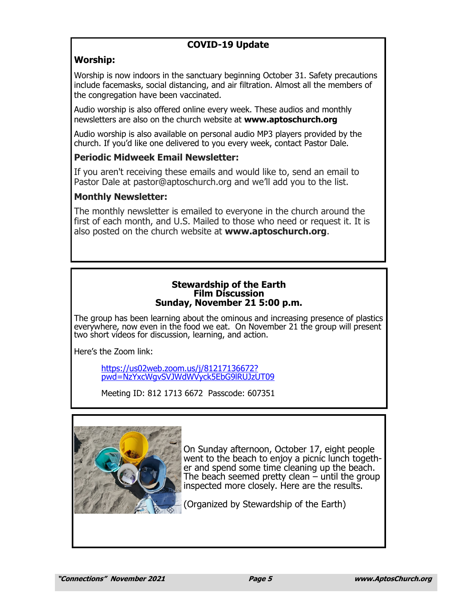## **COVID-19 Update**

## **Worship:**

Worship is now indoors in the sanctuary beginning October 31. Safety precautions include facemasks, social distancing, and air filtration. Almost all the members of the congregation have been vaccinated.

Audio worship is also offered online every week. These audios and monthly newsletters are also on the church website at **www.aptoschurch.org**

Audio worship is also available on personal audio MP3 players provided by the church. If you'd like one delivered to you every week, contact Pastor Dale.

### **Periodic Midweek Email Newsletter:**

If you aren't receiving these emails and would like to, send an email to Pastor Dale at pastor@aptoschurch.org and we'll add you to the list.

## **Monthly Newsletter:**

The monthly newsletter is emailed to everyone in the church around the first of each month, and U.S. Mailed to those who need or request it. It is also posted on the church website at **www.aptoschurch.org**.

#### **Stewardship of the Earth Film Discussion Sunday, November 21 5:00 p.m.**

The group has been learning about the ominous and increasing presence of plastics everywhere, now even in the food we eat. On November 21 the group will present two short videos for discussion, learning, and action.

Here's the Zoom link:

[https://us02web.zoom.us/j/81217136672?](https://us02web.zoom.us/j/81217136672?pwd=NzYxcWgvSVJWdWVyck5EbG9lRUJzUT09) [pwd=NzYxcWgvSVJWdWVyck5EbG9lRUJzUT09](https://us02web.zoom.us/j/81217136672?pwd=NzYxcWgvSVJWdWVyck5EbG9lRUJzUT09)

Meeting ID: 812 1713 6672 Passcode: 607351



On Sunday afternoon, October 17, eight people went to the beach to enjoy a picnic lunch together and spend some time cleaning up the beach. The beach seemed pretty clean – until the group inspected more closely. Here are the results.

(Organized by Stewardship of the Earth)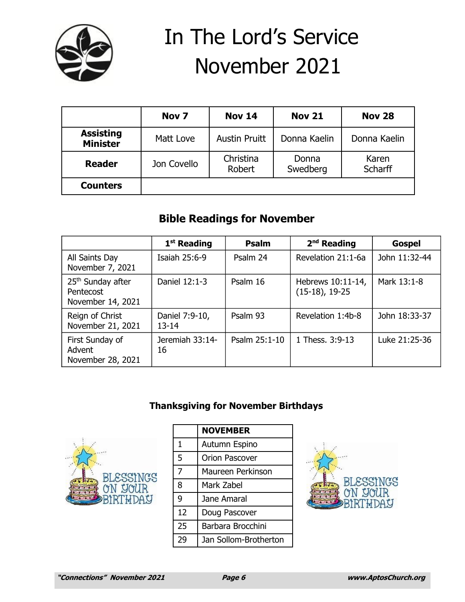

# In The Lord's Service November 2021

|                                     | Nov <sub>7</sub> | <b>Nov 14</b>        | <b>Nov 21</b>     | <b>Nov 28</b>    |
|-------------------------------------|------------------|----------------------|-------------------|------------------|
| <b>Assisting</b><br><b>Minister</b> | Matt Love        | <b>Austin Pruitt</b> | Donna Kaelin      | Donna Kaelin     |
| <b>Reader</b>                       | Jon Covello      | Christina<br>Robert  | Donna<br>Swedberg | Karen<br>Scharff |
| <b>Counters</b>                     |                  |                      |                   |                  |

## **Bible Readings for November**

|                                                                 | 1 <sup>st</sup> Reading     | <b>Psalm</b>  | $2nd$ Reading                          | <b>Gospel</b> |
|-----------------------------------------------------------------|-----------------------------|---------------|----------------------------------------|---------------|
| All Saints Day<br>November 7, 2021                              | Isaiah 25:6-9               | Psalm 24      | Revelation 21:1-6a                     | John 11:32-44 |
| 25 <sup>th</sup> Sunday after<br>Pentecost<br>November 14, 2021 | Daniel 12:1-3               | Psalm 16      | Hebrews 10:11-14,<br>$(15-18)$ , 19-25 | Mark 13:1-8   |
| Reign of Christ<br>November 21, 2021                            | Daniel 7:9-10,<br>$13 - 14$ | Psalm 93      | Revelation 1:4b-8                      | John 18:33-37 |
| First Sunday of<br>Advent<br>November 28, 2021                  | Jeremiah 33:14-<br>16       | Psalm 25:1-10 | 1 Thess. 3:9-13                        | Luke 21:25-36 |

## **Thanksgiving for November Birthdays**



|    | <b>NOVEMBER</b>       |  |  |
|----|-----------------------|--|--|
| 1  | Autumn Espino         |  |  |
| 5  | Orion Pascover        |  |  |
| 7  | Maureen Perkinson     |  |  |
| 8  | Mark Zabel            |  |  |
| 9  | Jane Amaral           |  |  |
| 12 | Doug Pascover         |  |  |
| 25 | Barbara Brocchini     |  |  |
| 29 | Jan Sollom-Brotherton |  |  |

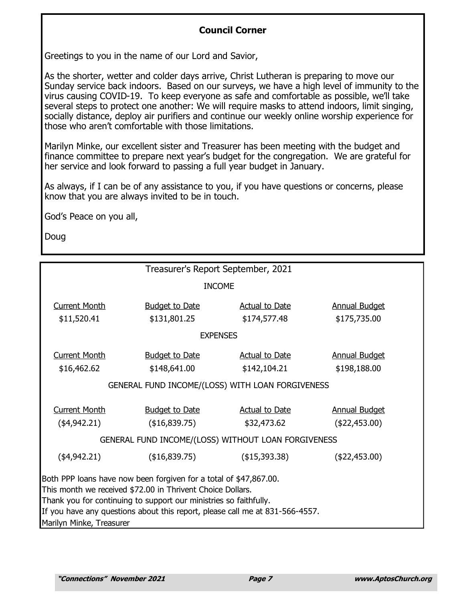## **Council Corner**

Greetings to you in the name of our Lord and Savior,

As the shorter, wetter and colder days arrive, Christ Lutheran is preparing to move our Sunday service back indoors. Based on our surveys, we have a high level of immunity to the virus causing COVID-19. To keep everyone as safe and comfortable as possible, we'll take several steps to protect one another: We will require masks to attend indoors, limit singing, socially distance, deploy air purifiers and continue our weekly online worship experience for those who aren't comfortable with those limitations.

Marilyn Minke, our excellent sister and Treasurer has been meeting with the budget and finance committee to prepare next year's budget for the congregation. We are grateful for her service and look forward to passing a full year budget in January.

As always, if I can be of any assistance to you, if you have questions or concerns, please know that you are always invited to be in touch.

God's Peace on you all,

Doug

| Treasurer's Report September, 2021                                           |                       |                       |                      |  |  |  |
|------------------------------------------------------------------------------|-----------------------|-----------------------|----------------------|--|--|--|
| <b>INCOME</b>                                                                |                       |                       |                      |  |  |  |
| <b>Current Month</b>                                                         | <b>Budget to Date</b> | <b>Actual to Date</b> | <b>Annual Budget</b> |  |  |  |
|                                                                              | \$131,801.25          |                       | \$175,735.00         |  |  |  |
| \$11,520.41                                                                  |                       | \$174,577.48          |                      |  |  |  |
| <b>EXPENSES</b>                                                              |                       |                       |                      |  |  |  |
| <b>Current Month</b>                                                         | <b>Budget to Date</b> | <b>Actual to Date</b> | <b>Annual Budget</b> |  |  |  |
| \$16,462.62                                                                  | \$148,641.00          | \$142,104.21          | \$198,188.00         |  |  |  |
| GENERAL FUND INCOME/(LOSS) WITH LOAN FORGIVENESS                             |                       |                       |                      |  |  |  |
| <b>Current Month</b>                                                         | <b>Budget to Date</b> | <b>Actual to Date</b> | <b>Annual Budget</b> |  |  |  |
| (\$4,942.21)                                                                 | (\$16,839.75)         | \$32,473.62           | (422, 453.00)        |  |  |  |
| GENERAL FUND INCOME/(LOSS) WITHOUT LOAN FORGIVENESS                          |                       |                       |                      |  |  |  |
| (\$4,942.21)                                                                 | (\$16,839.75)         | (\$15,393.38)         | (\$22,453.00)        |  |  |  |
| Both PPP loans have now been forgiven for a total of \$47,867.00.            |                       |                       |                      |  |  |  |
| This month we received \$72.00 in Thrivent Choice Dollars.                   |                       |                       |                      |  |  |  |
| Thank you for continuing to support our ministries so faithfully.            |                       |                       |                      |  |  |  |
| If you have any questions about this report, please call me at 831-566-4557. |                       |                       |                      |  |  |  |
| Marilyn Minke, Treasurer                                                     |                       |                       |                      |  |  |  |